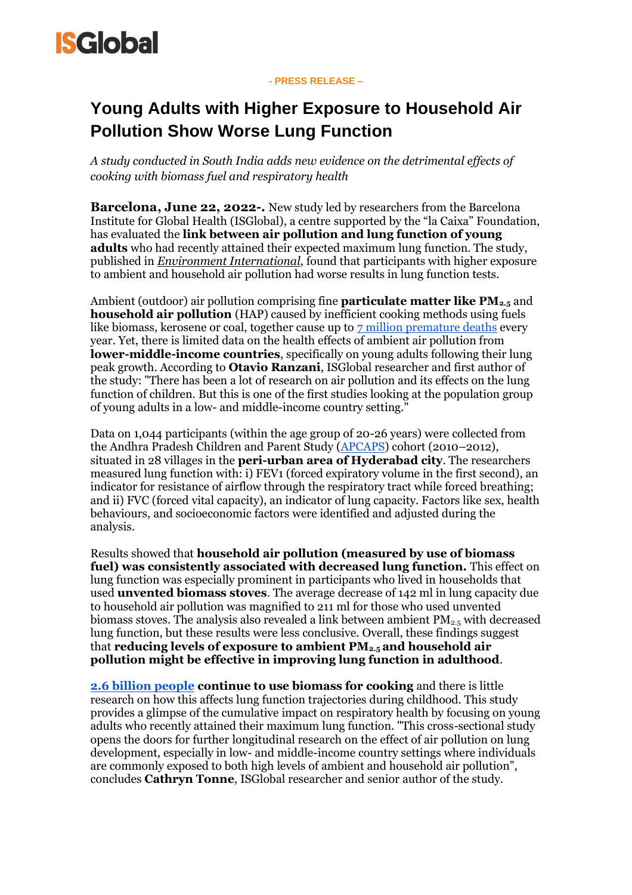# **ISGlobal**

#### **- PRESS RELEASE –**

## **Young Adults with Higher Exposure to Household Air Pollution Show Worse Lung Function**

*A study conducted in South India adds new evidence on the detrimental effects of cooking with biomass fuel and respiratory health*

**Barcelona, June 22, 2022-***.* New study led by researchers from the Barcelona Institute for Global Health (ISGlobal), a centre supported by the "la Caixa" Foundation, has evaluated the **link between air pollution and lung function of young adults** who had recently attained their expected maximum lung function. The study, published in *Environment International*, found that participants with higher exposure to ambient and household air pollution had worse results in lung function tests.

Ambient (outdoor) air pollution comprising fine **particulate matter like PM2.5** and **household air pollution** (HAP) caused by inefficient cooking methods using fuels like biomass, kerosene or coal, together cause up to 7 million premature deaths every year. Yet, there is limited data on the health effects of ambient air pollution from **lower-middle-income countries**, specifically on young adults following their lung peak growth. According to **Otavio Ranzani**, ISGlobal researcher and first author of the study: "There has been a lot of research on air pollution and its effects on the lung function of children. But this is one of the first studies looking at the population group of young adults in a low- and middle-income country setting."

Data on 1,044 participants (within the age group of 20-26 years) were collected from the Andhra Pradesh Children and Parent Study (APCAPS) cohort (2010–2012), situated in 28 villages in the **peri-urban area of Hyderabad city**. The researchers measured lung function with: i) FEV1 (forced expiratory volume in the first second), an indicator for resistance of airflow through the respiratory tract while forced breathing; and ii) FVC (forced vital capacity), an indicator of lung capacity. Factors like sex, health behaviours, and socioeconomic factors were identified and adjusted during the analysis.

Results showed that **household air pollution (measured by use of biomass fuel) was consistently associated with decreased lung function.** This effect on lung function was especially prominent in participants who lived in households that used **unvented biomass stoves**. The average decrease of 142 ml in lung capacity due to household air pollution was magnified to 211 ml for those who used unvented biomass stoves. The analysis also revealed a link between ambient  $PM_{2.5}$  with decreased lung function, but these results were less conclusive. Overall, these findings suggest that **reducing levels of exposure to ambient PM2.5 and household air pollution might be effective in improving lung function in adulthood**.

**2.6 billion people continue to use biomass for cooking** and there is little research on how this affects lung function trajectories during childhood. This study provides a glimpse of the cumulative impact on respiratory health by focusing on young adults who recently attained their maximum lung function. "This cross-sectional study opens the doors for further longitudinal research on the effect of air pollution on lung development, especially in low- and middle-income country settings where individuals are commonly exposed to both high levels of ambient and household air pollution", concludes **Cathryn Tonne**, ISGlobal researcher and senior author of the study.